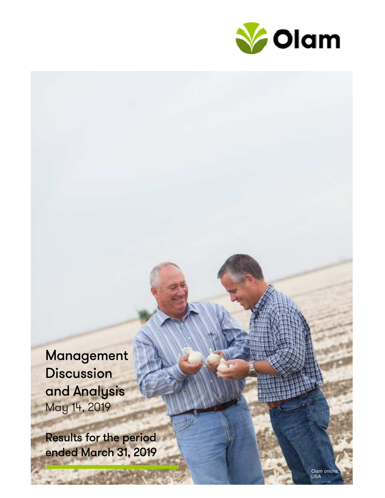

Management **Discussion** and Analysis May 14, 2019

Results for the period ended March 31, 2019

> Olam onions, USA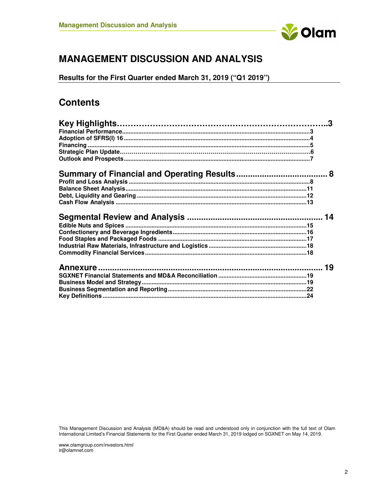

# **MANAGEMENT DISCUSSION AND ANALYSIS**

**Results for the First Quarter ended March 31, 2019 ("Q1 2019")** 

# **Contents**

This Management Discussion and Analysis (MD&A) should be read and understood only in conjunction with the full text of Olam International Limited's Financial Statements for the First Quarter ended March 31, 2019 lodged on SGXNET on May 14, 2019.

www.olamgroup.com/investors.html ir@olamnet.com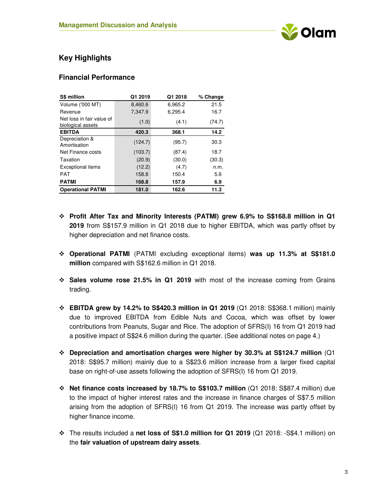

# **Key Highlights**

#### **Financial Performance**

| <b>S\$ million</b>                             | Q1 2019 | Q1 2018 | % Change |
|------------------------------------------------|---------|---------|----------|
| <b>Volume ('000 MT)</b>                        | 8,460.6 | 6,965.2 | 21.5     |
| Revenue                                        | 7,347.9 | 6,295.4 | 16.7     |
| Net loss in fair value of<br>biological assets | (1.0)   | (4.1)   | (74.7)   |
| <b>EBITDA</b>                                  | 420.3   | 368.1   | 14.2     |
| Depreciation &<br>Amortisation                 | (124.7) | (95.7)  | 30.3     |
| Net Finance costs                              | (103.7) | (87.4)  | 18.7     |
| Taxation                                       | (20.9)  | (30.0)  | (30.3)   |
| <b>Exceptional items</b>                       | (12.2)  | (4.7)   | n.m.     |
| <b>PAT</b>                                     | 158.8   | 150.4   | 5.6      |
| <b>PATMI</b>                                   | 168.8   | 157.9   | 6.9      |
| <b>Operational PATMI</b>                       | 181.0   | 162.6   | 11.3     |

- **Profit After Tax and Minority Interests (PATMI) grew 6.9% to S\$168.8 million in Q1 2019** from S\$157.9 million in Q1 2018 due to higher EBITDA, which was partly offset by higher depreciation and net finance costs.
- **Operational PATMI** (PATMI excluding exceptional items) **was up 11.3% at S\$181.0 million** compared with S\$162.6 million in Q1 2018.
- **Sales volume rose 21.5% in Q1 2019** with most of the increase coming from Grains trading.
- **EBITDA grew by 14.2% to S\$420.3 million in Q1 2019** (Q1 2018: S\$368.1 million) mainly due to improved EBITDA from Edible Nuts and Cocoa, which was offset by lower contributions from Peanuts, Sugar and Rice. The adoption of SFRS(I) 16 from Q1 2019 had a positive impact of S\$24.6 million during the quarter. (See additional notes on page 4.)
- **Depreciation and amortisation charges were higher by 30.3% at S\$124.7 million** (Q1 2018: S\$95.7 million) mainly due to a S\$23.6 million increase from a larger fixed capital base on right-of-use assets following the adoption of SFRS(I) 16 from Q1 2019.
- **Net finance costs increased by 18.7% to S\$103.7 million** (Q1 2018: S\$87.4 million) due to the impact of higher interest rates and the increase in finance charges of S\$7.5 million arising from the adoption of SFRS(I) 16 from Q1 2019. The increase was partly offset by higher finance income.
- The results included a **net loss of S\$1.0 million for Q1 2019** (Q1 2018: -S\$4.1 million) on the **fair valuation of upstream dairy assets**.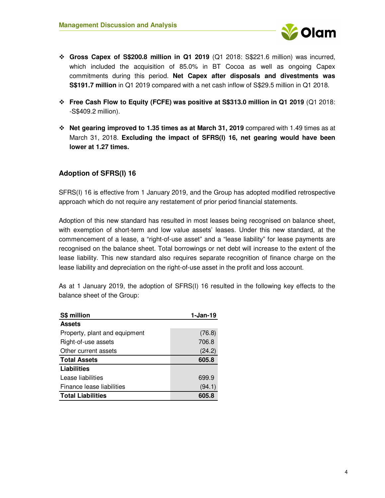

- **Gross Capex of S\$200.8 million in Q1 2019** (Q1 2018: S\$221.6 million) was incurred, which included the acquisition of 85.0% in BT Cocoa as well as ongoing Capex commitments during this period. **Net Capex after disposals and divestments was S\$191.7 million** in Q1 2019 compared with a net cash inflow of S\$29.5 million in Q1 2018.
- **Free Cash Flow to Equity (FCFE) was positive at S\$313.0 million in Q1 2019** (Q1 2018: -S\$409.2 million).
- **Net gearing improved to 1.35 times as at March 31, 2019** compared with 1.49 times as at March 31, 2018. **Excluding the impact of SFRS(I) 16, net gearing would have been lower at 1.27 times.**

### **Adoption of SFRS(I) 16**

SFRS(I) 16 is effective from 1 January 2019, and the Group has adopted modified retrospective approach which do not require any restatement of prior period financial statements.

Adoption of this new standard has resulted in most leases being recognised on balance sheet, with exemption of short-term and low value assets' leases. Under this new standard, at the commencement of a lease, a "right-of-use asset" and a "lease liability" for lease payments are recognised on the balance sheet. Total borrowings or net debt will increase to the extent of the lease liability. This new standard also requires separate recognition of finance charge on the lease liability and depreciation on the right-of-use asset in the profit and loss account.

As at 1 January 2019, the adoption of SFRS(I) 16 resulted in the following key effects to the balance sheet of the Group:

| S\$ million                   | $1-Jan-19$ |
|-------------------------------|------------|
| <b>Assets</b>                 |            |
| Property, plant and equipment | (76.8)     |
| Right-of-use assets           | 706.8      |
| Other current assets          | (24.2)     |
| <b>Total Assets</b>           | 605.8      |
| Liabilities                   |            |
| Lease liabilities             | 699.9      |
| Finance lease liabilities     | (94.1)     |
| <b>Total Liabilities</b>      | 605.8      |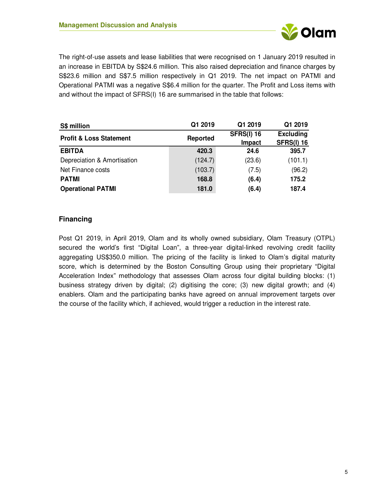

The right-of-use assets and lease liabilities that were recognised on 1 January 2019 resulted in an increase in EBITDA by S\$24.6 million. This also raised depreciation and finance charges by S\$23.6 million and S\$7.5 million respectively in Q1 2019. The net impact on PATMI and Operational PATMI was a negative S\$6.4 million for the quarter. The Profit and Loss items with and without the impact of SFRS(I) 16 are summarised in the table that follows:

| S\$ million                        | Q1 2019         | Q1 2019                     | Q1 2019                               |
|------------------------------------|-----------------|-----------------------------|---------------------------------------|
| <b>Profit &amp; Loss Statement</b> | <b>Reported</b> | <b>SFRS(I) 16</b><br>Impact | <b>Excluding</b><br><b>SFRS(I) 16</b> |
| <b>EBITDA</b>                      | 420.3           | 24.6                        | 395.7                                 |
| Depreciation & Amortisation        | (124.7)         | (23.6)                      | (101.1)                               |
| Net Finance costs                  | (103.7)         | (7.5)                       | (96.2)                                |
| <b>PATMI</b>                       | 168.8           | (6.4)                       | 175.2                                 |
| <b>Operational PATMI</b>           | 181.0           | (6.4)                       | 187.4                                 |

### **Financing**

Post Q1 2019, in April 2019, Olam and its wholly owned subsidiary, Olam Treasury (OTPL) secured the world's first "Digital Loan", a three-year digital-linked revolving credit facility aggregating US\$350.0 million. The pricing of the facility is linked to Olam's digital maturity score, which is determined by the Boston Consulting Group using their proprietary "Digital Acceleration Index" methodology that assesses Olam across four digital building blocks: (1) business strategy driven by digital; (2) digitising the core; (3) new digital growth; and (4) enablers. Olam and the participating banks have agreed on annual improvement targets over the course of the facility which, if achieved, would trigger a reduction in the interest rate.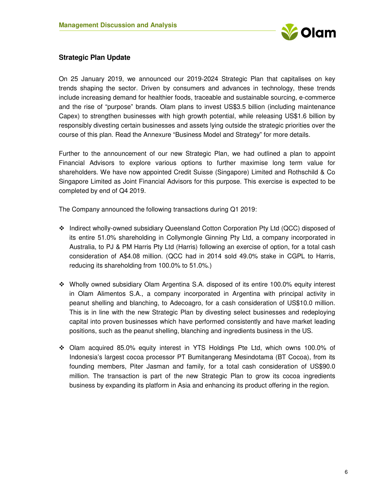

### **Strategic Plan Update**

On 25 January 2019, we announced our 2019-2024 Strategic Plan that capitalises on key trends shaping the sector. Driven by consumers and advances in technology, these trends include increasing demand for healthier foods, traceable and sustainable sourcing, e-commerce and the rise of "purpose" brands. Olam plans to invest US\$3.5 billion (including maintenance Capex) to strengthen businesses with high growth potential, while releasing US\$1.6 billion by responsibly divesting certain businesses and assets lying outside the strategic priorities over the course of this plan. Read the Annexure "Business Model and Strategy" for more details.

Further to the announcement of our new Strategic Plan, we had outlined a plan to appoint Financial Advisors to explore various options to further maximise long term value for shareholders. We have now appointed Credit Suisse (Singapore) Limited and Rothschild & Co Singapore Limited as Joint Financial Advisors for this purpose. This exercise is expected to be completed by end of Q4 2019.

The Company announced the following transactions during Q1 2019:

- Indirect wholly-owned subsidiary Queensland Cotton Corporation Pty Ltd (QCC) disposed of its entire 51.0% shareholding in Collymongle Ginning Pty Ltd, a company incorporated in Australia, to PJ & PM Harris Pty Ltd (Harris) following an exercise of option, for a total cash consideration of A\$4.08 million. (QCC had in 2014 sold 49.0% stake in CGPL to Harris, reducing its shareholding from 100.0% to 51.0%.)
- Wholly owned subsidiary Olam Argentina S.A. disposed of its entire 100.0% equity interest in Olam Alimentos S.A., a company incorporated in Argentina with principal activity in peanut shelling and blanching, to Adecoagro, for a cash consideration of US\$10.0 million. This is in line with the new Strategic Plan by divesting select businesses and redeploying capital into proven businesses which have performed consistently and have market leading positions, such as the peanut shelling, blanching and ingredients business in the US.
- Olam acquired 85.0% equity interest in YTS Holdings Pte Ltd, which owns 100.0% of Indonesia's largest cocoa processor PT Bumitangerang Mesindotama (BT Cocoa), from its founding members, Piter Jasman and family, for a total cash consideration of US\$90.0 million. The transaction is part of the new Strategic Plan to grow its cocoa ingredients business by expanding its platform in Asia and enhancing its product offering in the region.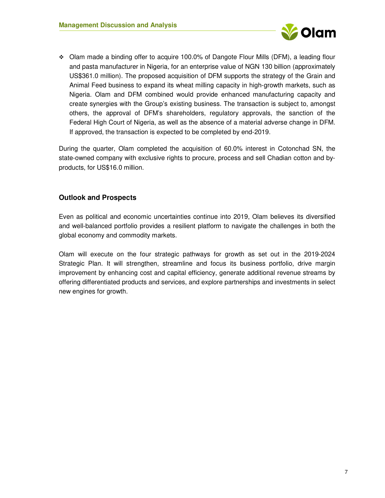

 Olam made a binding offer to acquire 100.0% of Dangote Flour Mills (DFM), a leading flour and pasta manufacturer in Nigeria, for an enterprise value of NGN 130 billion (approximately US\$361.0 million). The proposed acquisition of DFM supports the strategy of the Grain and Animal Feed business to expand its wheat milling capacity in high-growth markets, such as Nigeria. Olam and DFM combined would provide enhanced manufacturing capacity and create synergies with the Group's existing business. The transaction is subject to, amongst others, the approval of DFM's shareholders, regulatory approvals, the sanction of the Federal High Court of Nigeria, as well as the absence of a material adverse change in DFM. If approved, the transaction is expected to be completed by end-2019.

During the quarter, Olam completed the acquisition of 60.0% interest in Cotonchad SN, the state-owned company with exclusive rights to procure, process and sell Chadian cotton and byproducts, for US\$16.0 million.

### **Outlook and Prospects**

Even as political and economic uncertainties continue into 2019, Olam believes its diversified and well-balanced portfolio provides a resilient platform to navigate the challenges in both the global economy and commodity markets.

Olam will execute on the four strategic pathways for growth as set out in the 2019-2024 Strategic Plan. It will strengthen, streamline and focus its business portfolio, drive margin improvement by enhancing cost and capital efficiency, generate additional revenue streams by offering differentiated products and services, and explore partnerships and investments in select new engines for growth.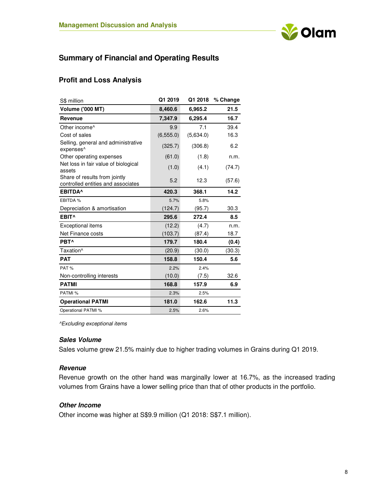

# **Summary of Financial and Operating Results**

### **Profit and Loss Analysis**

| S\$ million                                                         | Q1 2019    | Q1 2018   | % Change |
|---------------------------------------------------------------------|------------|-----------|----------|
| <b>Volume ('000 MT)</b>                                             | 8,460.6    | 6,965.2   | 21.5     |
| <b>Revenue</b>                                                      | 7,347.9    | 6,295.4   | 16.7     |
| Other income <sup>^</sup>                                           | 9.9        | 7.1       | 39.4     |
| Cost of sales                                                       | (6, 555.0) | (5,634.0) | 16.3     |
| Selling, general and administrative<br>expenses <sup>^</sup>        | (325.7)    | (306.8)   | 6.2      |
| Other operating expenses                                            | (61.0)     | (1.8)     | n.m.     |
| Net loss in fair value of biological<br>assets                      | (1.0)      | (4.1)     | (74.7)   |
| Share of results from jointly<br>controlled entities and associates | 5.2        | 12.3      | (57.6)   |
| <b>EBITDA</b>                                                       | 420.3      | 368.1     | 14.2     |
| EBITDA %                                                            | 5.7%       | 5.8%      |          |
| Depreciation & amortisation                                         | (124.7)    | (95.7)    | 30.3     |
| EBIT <sup>^</sup>                                                   | 295.6      | 272.4     | 8.5      |
| <b>Exceptional items</b>                                            | (12.2)     | (4.7)     | n.m.     |
| Net Finance costs                                                   | (103.7)    | (87.4)    | 18.7     |
| PBT <sup>^</sup>                                                    | 179.7      | 180.4     | (0.4)    |
| Taxation <sup>^</sup>                                               | (20.9)     | (30.0)    | (30.3)   |
| <b>PAT</b>                                                          | 158.8      | 150.4     | 5.6      |
| PAT%                                                                | 2.2%       | 2.4%      |          |
| Non-controlling interests                                           | (10.0)     | (7.5)     | 32.6     |
| <b>PATMI</b>                                                        | 168.8      | 157.9     | 6.9      |
| PATMI %                                                             | 2.3%       | 2.5%      |          |
| <b>Operational PATMI</b>                                            | 181.0      | 162.6     | 11.3     |
| Operational PATMI %                                                 | 2.5%       | 2.6%      |          |

*^Excluding exceptional items* 

#### **Sales Volume**

Sales volume grew 21.5% mainly due to higher trading volumes in Grains during Q1 2019.

#### **Revenue**

Revenue growth on the other hand was marginally lower at 16.7%, as the increased trading volumes from Grains have a lower selling price than that of other products in the portfolio.

#### **Other Income**

Other income was higher at S\$9.9 million (Q1 2018: S\$7.1 million).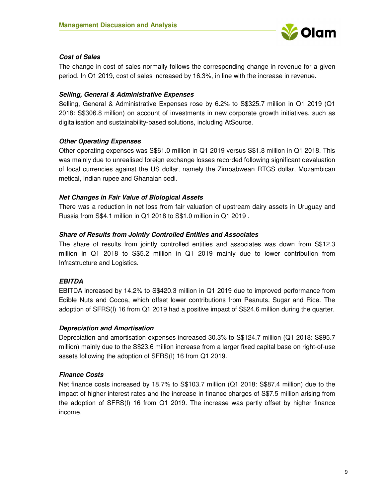

#### **Cost of Sales**

The change in cost of sales normally follows the corresponding change in revenue for a given period. In Q1 2019, cost of sales increased by 16.3%, in line with the increase in revenue.

#### **Selling, General & Administrative Expenses**

Selling, General & Administrative Expenses rose by 6.2% to S\$325.7 million in Q1 2019 (Q1 2018: S\$306.8 million) on account of investments in new corporate growth initiatives, such as digitalisation and sustainability-based solutions, including AtSource.

#### **Other Operating Expenses**

Other operating expenses was S\$61.0 million in Q1 2019 versus S\$1.8 million in Q1 2018. This was mainly due to unrealised foreign exchange losses recorded following significant devaluation of local currencies against the US dollar, namely the Zimbabwean RTGS dollar, Mozambican metical, Indian rupee and Ghanaian cedi.

#### **Net Changes in Fair Value of Biological Assets**

There was a reduction in net loss from fair valuation of upstream dairy assets in Uruguay and Russia from S\$4.1 million in Q1 2018 to S\$1.0 million in Q1 2019 .

#### **Share of Results from Jointly Controlled Entities and Associates**

The share of results from jointly controlled entities and associates was down from S\$12.3 million in Q1 2018 to S\$5.2 million in Q1 2019 mainly due to lower contribution from Infrastructure and Logistics.

### **EBITDA**

EBITDA increased by 14.2% to S\$420.3 million in Q1 2019 due to improved performance from Edible Nuts and Cocoa, which offset lower contributions from Peanuts, Sugar and Rice. The adoption of SFRS(I) 16 from Q1 2019 had a positive impact of S\$24.6 million during the quarter.

#### **Depreciation and Amortisation**

Depreciation and amortisation expenses increased 30.3% to S\$124.7 million (Q1 2018: S\$95.7 million) mainly due to the S\$23.6 million increase from a larger fixed capital base on right-of-use assets following the adoption of SFRS(I) 16 from Q1 2019.

#### **Finance Costs**

Net finance costs increased by 18.7% to S\$103.7 million (Q1 2018: S\$87.4 million) due to the impact of higher interest rates and the increase in finance charges of S\$7.5 million arising from the adoption of SFRS(I) 16 from Q1 2019. The increase was partly offset by higher finance income.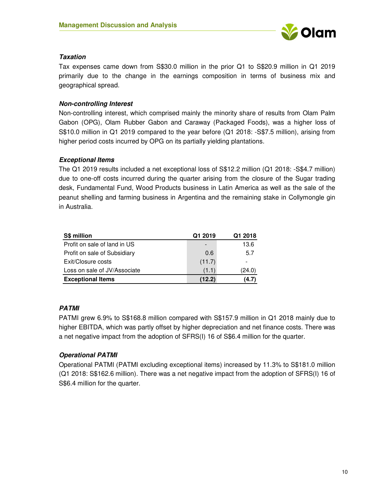

#### **Taxation**

Tax expenses came down from S\$30.0 million in the prior Q1 to S\$20.9 million in Q1 2019 primarily due to the change in the earnings composition in terms of business mix and geographical spread.

### **Non-controlling Interest**

Non-controlling interest, which comprised mainly the minority share of results from Olam Palm Gabon (OPG), Olam Rubber Gabon and Caraway (Packaged Foods), was a higher loss of S\$10.0 million in Q1 2019 compared to the year before (Q1 2018: -S\$7.5 million), arising from higher period costs incurred by OPG on its partially yielding plantations.

### **Exceptional Items**

The Q1 2019 results included a net exceptional loss of S\$12.2 million (Q1 2018: -S\$4.7 million) due to one-off costs incurred during the quarter arising from the closure of the Sugar trading desk, Fundamental Fund, Wood Products business in Latin America as well as the sale of the peanut shelling and farming business in Argentina and the remaining stake in Collymongle gin in Australia.

| <b>S\$ million</b>           | Q1 2019                  | Q1 2018 |
|------------------------------|--------------------------|---------|
| Profit on sale of land in US | $\overline{\phantom{a}}$ | 13.6    |
| Profit on sale of Subsidiary | 0.6                      | 5.7     |
| Exit/Closure costs           | (11.7)                   |         |
| Loss on sale of JV/Associate | (1.1)                    | (24.0)  |
| <b>Exceptional Items</b>     | (12.2)                   | 4.7     |

### **PATMI**

PATMI grew 6.9% to S\$168.8 million compared with S\$157.9 million in Q1 2018 mainly due to higher EBITDA, which was partly offset by higher depreciation and net finance costs. There was a net negative impact from the adoption of SFRS(I) 16 of S\$6.4 million for the quarter.

### **Operational PATMI**

Operational PATMI (PATMI excluding exceptional items) increased by 11.3% to S\$181.0 million (Q1 2018: S\$162.6 million). There was a net negative impact from the adoption of SFRS(I) 16 of S\$6.4 million for the quarter.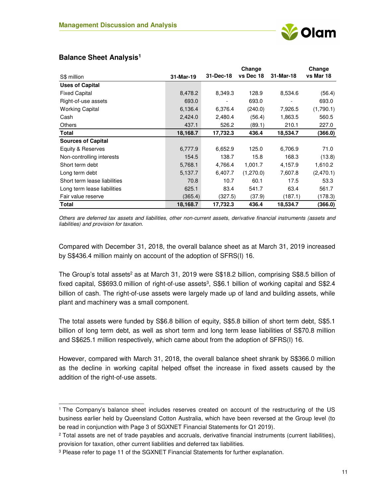

|                              |           |           | Change    |           | Change    |
|------------------------------|-----------|-----------|-----------|-----------|-----------|
| S\$ million                  | 31-Mar-19 | 31-Dec-18 | vs Dec 18 | 31-Mar-18 | vs Mar 18 |
| <b>Uses of Capital</b>       |           |           |           |           |           |
| <b>Fixed Capital</b>         | 8,478.2   | 8,349.3   | 128.9     | 8,534.6   | (56.4)    |
| Right-of-use assets          | 693.0     | -         | 693.0     |           | 693.0     |
| <b>Working Capital</b>       | 6,136.4   | 6,376.4   | (240.0)   | 7,926.5   | (1,790.1) |
| Cash                         | 2,424.0   | 2,480.4   | (56.4)    | 1,863.5   | 560.5     |
| Others                       | 437.1     | 526.2     | (89.1)    | 210.1     | 227.0     |
| Total                        | 18,168.7  | 17,732.3  | 436.4     | 18,534.7  | (366.0)   |
| <b>Sources of Capital</b>    |           |           |           |           |           |
| Equity & Reserves            | 6,777.9   | 6,652.9   | 125.0     | 6,706.9   | 71.0      |
| Non-controlling interests    | 154.5     | 138.7     | 15.8      | 168.3     | (13.8)    |
| Short term debt              | 5,768.1   | 4,766.4   | 1,001.7   | 4,157.9   | 1,610.2   |
| Long term debt               | 5,137.7   | 6,407.7   | (1,270.0) | 7,607.8   | (2,470.1) |
| Short term lease liabilities | 70.8      | 10.7      | 60.1      | 17.5      | 53.3      |
| Long term lease liabilities  | 625.1     | 83.4      | 541.7     | 63.4      | 561.7     |
| Fair value reserve           | (365.4)   | (327.5)   | (37.9)    | (187.1)   | (178.3)   |
| Total                        | 18,168.7  | 17,732.3  | 436.4     | 18,534.7  | (366.0)   |

### **Balance Sheet Analysis<sup>1</sup>**

 $\overline{a}$ 

*Others are deferred tax assets and liabilities, other non-current assets, derivative financial instruments (assets and liabilities) and provision for taxation.* 

Compared with December 31, 2018, the overall balance sheet as at March 31, 2019 increased by S\$436.4 million mainly on account of the adoption of SFRS(I) 16.

The Group's total assets<sup>2</sup> as at March 31, 2019 were S\$18.2 billion, comprising S\$8.5 billion of fixed capital, S\$693.0 million of right-of-use assets<sup>3</sup>, S\$6.1 billion of working capital and S\$2.4 billion of cash. The right-of-use assets were largely made up of land and building assets, while plant and machinery was a small component.

The total assets were funded by S\$6.8 billion of equity, S\$5.8 billion of short term debt, S\$5.1 billion of long term debt, as well as short term and long term lease liabilities of S\$70.8 million and S\$625.1 million respectively, which came about from the adoption of SFRS(I) 16.

However, compared with March 31, 2018, the overall balance sheet shrank by S\$366.0 million as the decline in working capital helped offset the increase in fixed assets caused by the addition of the right-of-use assets.

<sup>1</sup> The Company's balance sheet includes reserves created on account of the restructuring of the US business earlier held by Queensland Cotton Australia, which have been reversed at the Group level (to be read in conjunction with Page 3 of SGXNET Financial Statements for Q1 2019).

<sup>2</sup> Total assets are net of trade payables and accruals, derivative financial instruments (current liabilities), provision for taxation, other current liabilities and deferred tax liabilities.

<sup>3</sup> Please refer to page 11 of the SGXNET Financial Statements for further explanation.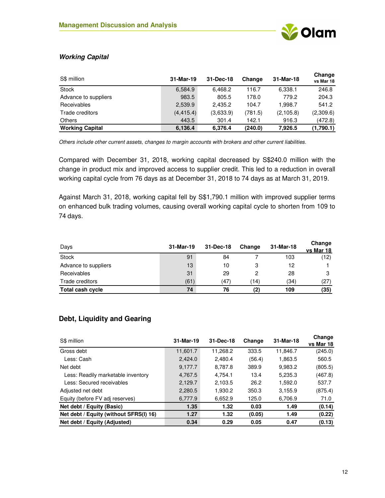

### **Working Capital**

| S\$ million            | 31-Mar-19  | 31-Dec-18 | Change  | 31-Mar-18 | Change<br>vs Mar 18 |
|------------------------|------------|-----------|---------|-----------|---------------------|
| <b>Stock</b>           | 6,584.9    | 6,468.2   | 116.7   | 6,338.1   | 246.8               |
| Advance to suppliers   | 983.5      | 805.5     | 178.0   | 779.2     | 204.3               |
| <b>Receivables</b>     | 2,539.9    | 2,435.2   | 104.7   | 1.998.7   | 541.2               |
| Trade creditors        | (4, 415.4) | (3,633.9) | (781.5) | (2,105.8) | (2,309.6)           |
| <b>Others</b>          | 443.5      | 301.4     | 142.1   | 916.3     | (472.8)             |
| <b>Working Capital</b> | 6,136.4    | 6,376.4   | (240.0) | 7.926.5   | (1,790.1)           |

*Others include other current assets, changes to margin accounts with brokers and other current liabilities.*

Compared with December 31, 2018, working capital decreased by S\$240.0 million with the change in product mix and improved access to supplier credit. This led to a reduction in overall working capital cycle from 76 days as at December 31, 2018 to 74 days as at March 31, 2019.

Against March 31, 2018, working capital fell by S\$1,790.1 million with improved supplier terms on enhanced bulk trading volumes, causing overall working capital cycle to shorten from 109 to 74 days.

| Days                 | 31-Mar-19 | 31-Dec-18 | Change | 31-Mar-18 | Change<br>vs Mar 18 |
|----------------------|-----------|-----------|--------|-----------|---------------------|
| <b>Stock</b>         | 91        | 84        |        | 103       | (12)                |
| Advance to suppliers | 13        | 10        | З      | 12        |                     |
| Receivables          | 31        | 29        |        | 28        | 3                   |
| Trade creditors      | (61)      | (47)      | (14    | (34)      | (27)                |
| Total cash cycle     | 74        | 76        | (2)    | 109       | (35)                |

### **Debt, Liquidity and Gearing**

| S\$ million                            | 31-Mar-19 | 31-Dec-18 | Change | 31-Mar-18 | Change<br>vs Mar 18 |
|----------------------------------------|-----------|-----------|--------|-----------|---------------------|
| Gross debt                             | 11,601.7  | 11,268.2  | 333.5  | 11,846.7  | (245.0)             |
| Less: Cash                             | 2.424.0   | 2,480.4   | (56.4) | 1,863.5   | 560.5               |
| Net debt                               | 9,177.7   | 8,787.8   | 389.9  | 9,983.2   | (805.5)             |
| Less: Readily marketable inventory     | 4,767.5   | 4,754.1   | 13.4   | 5,235.3   | (467.8)             |
| Less: Secured receivables              | 2.129.7   | 2,103.5   | 26.2   | 1.592.0   | 537.7               |
| Adjusted net debt                      | 2,280.5   | 1,930.2   | 350.3  | 3,155.9   | (875.4)             |
| Equity (before FV adj reserves)        | 6,777.9   | 6,652.9   | 125.0  | 6,706.9   | 71.0                |
| Net debt / Equity (Basic)              | 1.35      | 1.32      | 0.03   | 1.49      | (0.14)              |
| Net debt / Equity (without SFRS(I) 16) | 1.27      | 1.32      | (0.05) | 1.49      | (0.22)              |
| Net debt / Equity (Adjusted)           | 0.34      | 0.29      | 0.05   | 0.47      | (0.13)              |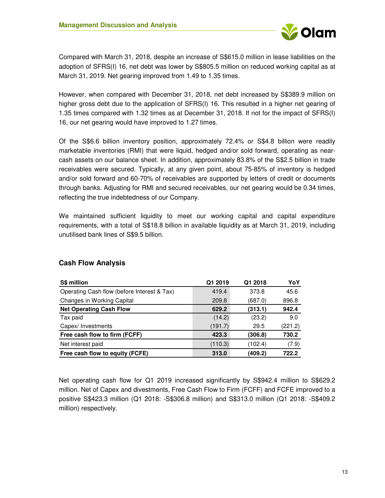

Compared with March 31, 2018, despite an increase of S\$615.0 million in lease liabilities on the adoption of SFRS(I) 16, net debt was lower by S\$805.5 million on reduced working capital as at March 31, 2019. Net gearing improved from 1.49 to 1.35 times.

However, when compared with December 31, 2018, net debt increased by S\$389.9 million on higher gross debt due to the application of SFRS(I) 16. This resulted in a higher net gearing of 1.35 times compared with 1.32 times as at December 31, 2018. If not for the impact of SFRS(I) 16, our net gearing would have improved to 1.27 times.

Of the S\$6.6 billion inventory position, approximately 72.4% or S\$4.8 billion were readily marketable inventories (RMI) that were liquid, hedged and/or sold forward, operating as nearcash assets on our balance sheet. In addition, approximately 83.8% of the S\$2.5 billion in trade receivables were secured. Typically, at any given point, about 75-85% of inventory is hedged and/or sold forward and 60-70% of receivables are supported by letters of credit or documents through banks. Adjusting for RMI and secured receivables, our net gearing would be 0.34 times, reflecting the true indebtedness of our Company.

We maintained sufficient liquidity to meet our working capital and capital expenditure requirements, with a total of S\$18.8 billion in available liquidity as at March 31, 2019, including unutilised bank lines of S\$9.5 billion.

| <b>S\$ million</b>                          | Q1 2019 | Q1 2018 | YoY     |
|---------------------------------------------|---------|---------|---------|
| Operating Cash flow (before Interest & Tax) | 419.4   | 373.8   | 45.6    |
| Changes in Working Capital                  | 209.8   | (687.0) | 896.8   |
| <b>Net Operating Cash Flow</b>              | 629.2   | (313.1) | 942.4   |
| Tax paid                                    | (14.2)  | (23.2)  | 9.0     |
| Capex/Investments                           | (191.7) | 29.5    | (221.2) |
| Free cash flow to firm (FCFF)               | 423.3   | (306.8) | 730.2   |
| Net interest paid                           | (110.3) | (102.4) | (7.9)   |
| Free cash flow to equity (FCFE)             | 313.0   | (409.2) | 722.2   |

### **Cash Flow Analysis**

Net operating cash flow for Q1 2019 increased significantly by S\$942.4 million to S\$629.2 million. Net of Capex and divestments, Free Cash Flow to Firm (FCFF) and FCFE improved to a positive S\$423.3 million (Q1 2018: -S\$306.8 million) and S\$313.0 million (Q1 2018: -S\$409.2 million) respectively.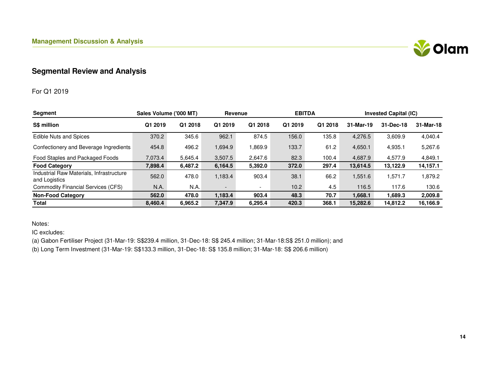

## **Segmental Review and Analysis**

### For Q1 2019

| <b>Segment</b>                                            | Sales Volume ('000 MT) |         | Revenue                  |                          | <b>EBITDA</b> |         |           | <b>Invested Capital (IC)</b> |           |
|-----------------------------------------------------------|------------------------|---------|--------------------------|--------------------------|---------------|---------|-----------|------------------------------|-----------|
| S\$ million                                               | Q1 2019                | Q1 2018 | Q1 2019                  | Q1 2018                  | Q1 2019       | Q1 2018 | 31-Mar-19 | 31-Dec-18                    | 31-Mar-18 |
| <b>Edible Nuts and Spices</b>                             | 370.2                  | 345.6   | 962.1                    | 874.5                    | 156.0         | 135.8   | 4.276.5   | 3,609.9                      | 4,040.4   |
| Confectionery and Beverage Ingredients                    | 454.8                  | 496.2   | 1,694.9                  | 1,869.9                  | 133.7         | 61.2    | 4,650.1   | 4,935.1                      | 5,267.6   |
| Food Staples and Packaged Foods                           | 7.073.4                | 5.645.4 | 3,507.5                  | 2.647.6                  | 82.3          | 100.4   | 4.687.9   | 4.577.9                      | 4,849.1   |
| <b>Food Category</b>                                      | 7,898.4                | 6,487.2 | 6,164.5                  | 5,392.0                  | 372.0         | 297.4   | 13,614.5  | 13,122.9                     | 14,157.1  |
| Industrial Raw Materials, Infrastructure<br>and Logistics | 562.0                  | 478.0   | 1,183.4                  | 903.4                    | 38.1          | 66.2    | 1,551.6   | 1,571.7                      | 1,879.2   |
| <b>Commodity Financial Services (CFS)</b>                 | N.A.                   | N.A.    | $\overline{\phantom{a}}$ | $\overline{\phantom{0}}$ | 10.2          | 4.5     | 116.5     | 117.6                        | 130.6     |
| <b>Non-Food Category</b>                                  | 562.0                  | 478.0   | 1,183.4                  | 903.4                    | 48.3          | 70.7    | 1,668.1   | 1,689.3                      | 2,009.8   |
| <b>Total</b>                                              | 8,460.4                | 6,965.2 | 7,347.9                  | 6,295.4                  | 420.3         | 368.1   | 15,282.6  | 14.812.2                     | 16,166.9  |

Notes:

IC excludes:

(a) Gabon Fertiliser Project (31-Mar-19: S\$239.4 million, 31-Dec-18: S\$ 245.4 million; 31-Mar-18:S\$ 251.0 million); and

(b) Long Term Investment (31-Mar-19: S\$133.3 million, 31-Dec-18: S\$ 135.8 million; 31-Mar-18: S\$ 206.6 million)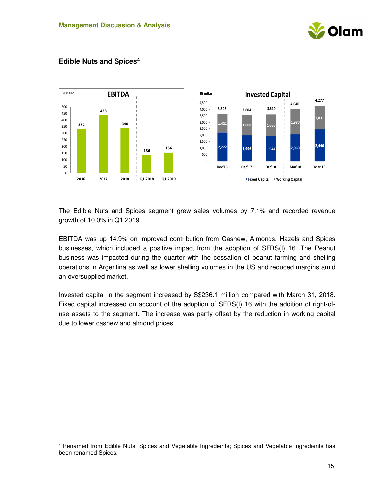



#### **Edible Nuts and Spices<sup>4</sup>**

 $\overline{a}$ 

The Edible Nuts and Spices segment grew sales volumes by 7.1% and recorded revenue growth of 10.0% in Q1 2019.

EBITDA was up 14.9% on improved contribution from Cashew, Almonds, Hazels and Spices businesses, which included a positive impact from the adoption of SFRS(I) 16. The Peanut business was impacted during the quarter with the cessation of peanut farming and shelling operations in Argentina as well as lower shelling volumes in the US and reduced margins amid an oversupplied market.

Invested capital in the segment increased by S\$236.1 million compared with March 31, 2018. Fixed capital increased on account of the adoption of SFRS(I) 16 with the addition of right-ofuse assets to the segment. The increase was partly offset by the reduction in working capital due to lower cashew and almond prices.

<sup>4</sup> Renamed from Edible Nuts, Spices and Vegetable Ingredients; Spices and Vegetable Ingredients has been renamed Spices.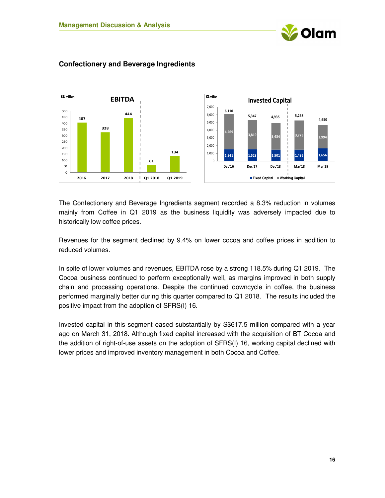



### **Confectionery and Beverage Ingredients**

The Confectionery and Beverage Ingredients segment recorded a 8.3% reduction in volumes mainly from Coffee in Q1 2019 as the business liquidity was adversely impacted due to historically low coffee prices.

Revenues for the segment declined by 9.4% on lower cocoa and coffee prices in addition to reduced volumes.

In spite of lower volumes and revenues, EBITDA rose by a strong 118.5% during Q1 2019. The Cocoa business continued to perform exceptionally well, as margins improved in both supply chain and processing operations. Despite the continued downcycle in coffee, the business performed marginally better during this quarter compared to Q1 2018. The results included the positive impact from the adoption of SFRS(I) 16.

Invested capital in this segment eased substantially by S\$617.5 million compared with a year ago on March 31, 2018. Although fixed capital increased with the acquisition of BT Cocoa and the addition of right-of-use assets on the adoption of SFRS(I) 16, working capital declined with lower prices and improved inventory management in both Cocoa and Coffee.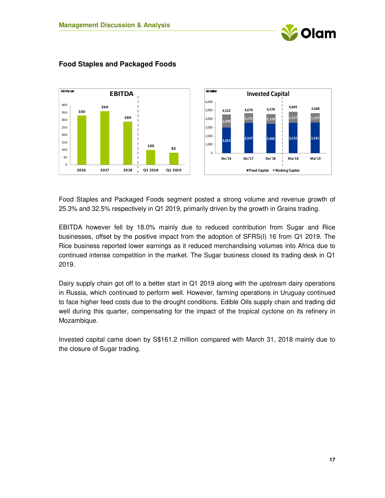



### **Food Staples and Packaged Foods**

Food Staples and Packaged Foods segment posted a strong volume and revenue growth of 25.3% and 32.5% respectively in Q1 2019, primarily driven by the growth in Grains trading.

EBITDA however fell by 18.0% mainly due to reduced contribution from Sugar and Rice businesses, offset by the positive impact from the adoption of SFRS(I) 16 from Q1 2019. The Rice business reported lower earnings as it reduced merchandising volumes into Africa due to continued intense competition in the market. The Sugar business closed its trading desk in Q1 2019.

Dairy supply chain got off to a better start in Q1 2019 along with the upstream dairy operations in Russia, which continued to perform well. However, farming operations in Uruguay continued to face higher feed costs due to the drought conditions. Edible Oils supply chain and trading did well during this quarter, compensating for the impact of the tropical cyclone on its refinery in Mozambique.

Invested capital came down by S\$161.2 million compared with March 31, 2018 mainly due to the closure of Sugar trading.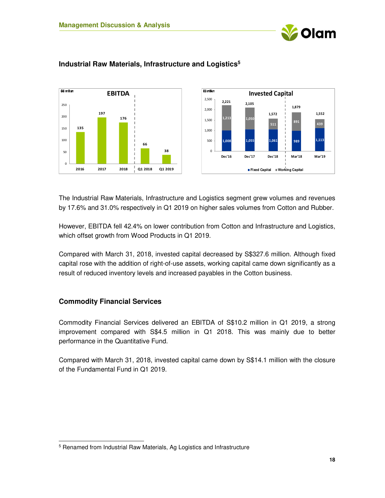



### **Industrial Raw Materials, Infrastructure and Logistics<sup>5</sup>**

The Industrial Raw Materials, Infrastructure and Logistics segment grew volumes and revenues by 17.6% and 31.0% respectively in Q1 2019 on higher sales volumes from Cotton and Rubber.

However, EBITDA fell 42.4% on lower contribution from Cotton and Infrastructure and Logistics, which offset growth from Wood Products in Q1 2019.

Compared with March 31, 2018, invested capital decreased by S\$327.6 million. Although fixed capital rose with the addition of right-of-use assets, working capital came down significantly as a result of reduced inventory levels and increased payables in the Cotton business.

#### **Commodity Financial Services**

 $\overline{a}$ 

Commodity Financial Services delivered an EBITDA of S\$10.2 million in Q1 2019, a strong improvement compared with S\$4.5 million in Q1 2018. This was mainly due to better performance in the Quantitative Fund.

Compared with March 31, 2018, invested capital came down by S\$14.1 million with the closure of the Fundamental Fund in Q1 2019.

<sup>&</sup>lt;sup>5</sup> Renamed from Industrial Raw Materials, Ag Logistics and Infrastructure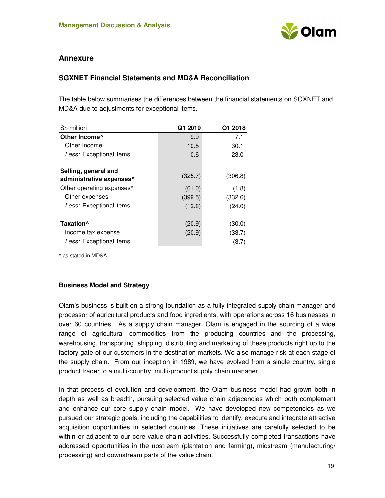

### **Annexure**

### **SGXNET Financial Statements and MD&A Reconciliation**

The table below summarises the differences between the financial statements on SGXNET and MD&A due to adjustments for exceptional items.

| S\$ million                                      | Q1 2019 | Q1 2018 |
|--------------------------------------------------|---------|---------|
| Other Income <sup>^</sup>                        | 9.9     | 7.1     |
| Other Income                                     | 10.5    | 30.1    |
| Less: Exceptional items                          | 0.6     | 23.0    |
| Selling, general and<br>administrative expenses^ | (325.7) | (306.8) |
| Other operating expenses <sup>^</sup>            | (61.0)  | (1.8)   |
| Other expenses                                   | (399.5) | (332.6) |
| Less: Exceptional items                          | (12.8)  | (24.0)  |
| Taxation <sup>^</sup>                            | (20.9)  | (30.0)  |
| Income tax expense                               | (20.9)  | (33.7)  |
| Less: Exceptional items                          |         | (3.7)   |

^ as stated in MD&A

#### **Business Model and Strategy**

Olam's business is built on a strong foundation as a fully integrated supply chain manager and processor of agricultural products and food ingredients, with operations across 16 businesses in over 60 countries. As a supply chain manager, Olam is engaged in the sourcing of a wide range of agricultural commodities from the producing countries and the processing, warehousing, transporting, shipping, distributing and marketing of these products right up to the factory gate of our customers in the destination markets. We also manage risk at each stage of the supply chain. From our inception in 1989, we have evolved from a single country, single product trader to a multi-country, multi-product supply chain manager.

In that process of evolution and development, the Olam business model had grown both in depth as well as breadth, pursuing selected value chain adjacencies which both complement and enhance our core supply chain model. We have developed new competencies as we pursued our strategic goals, including the capabilities to identify, execute and integrate attractive acquisition opportunities in selected countries. These initiatives are carefully selected to be within or adjacent to our core value chain activities. Successfully completed transactions have addressed opportunities in the upstream (plantation and farming), midstream (manufacturing/ processing) and downstream parts of the value chain.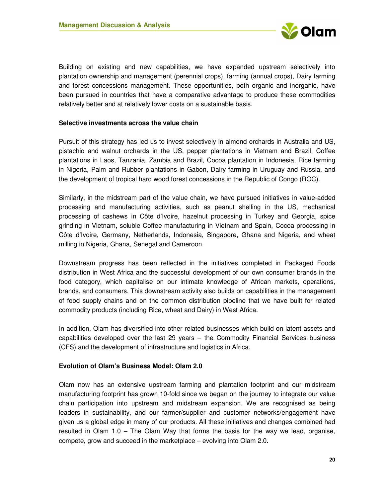

Building on existing and new capabilities, we have expanded upstream selectively into plantation ownership and management (perennial crops), farming (annual crops), Dairy farming and forest concessions management. These opportunities, both organic and inorganic, have been pursued in countries that have a comparative advantage to produce these commodities relatively better and at relatively lower costs on a sustainable basis.

#### **Selective investments across the value chain**

Pursuit of this strategy has led us to invest selectively in almond orchards in Australia and US, pistachio and walnut orchards in the US, pepper plantations in Vietnam and Brazil, Coffee plantations in Laos, Tanzania, Zambia and Brazil, Cocoa plantation in Indonesia, Rice farming in Nigeria, Palm and Rubber plantations in Gabon, Dairy farming in Uruguay and Russia, and the development of tropical hard wood forest concessions in the Republic of Congo (ROC).

Similarly, in the midstream part of the value chain, we have pursued initiatives in value-added processing and manufacturing activities, such as peanut shelling in the US, mechanical processing of cashews in Côte d'Ivoire, hazelnut processing in Turkey and Georgia, spice grinding in Vietnam, soluble Coffee manufacturing in Vietnam and Spain, Cocoa processing in Côte d'Ivoire, Germany, Netherlands, Indonesia, Singapore, Ghana and Nigeria, and wheat milling in Nigeria, Ghana, Senegal and Cameroon.

Downstream progress has been reflected in the initiatives completed in Packaged Foods distribution in West Africa and the successful development of our own consumer brands in the food category, which capitalise on our intimate knowledge of African markets, operations, brands, and consumers. This downstream activity also builds on capabilities in the management of food supply chains and on the common distribution pipeline that we have built for related commodity products (including Rice, wheat and Dairy) in West Africa.

In addition, Olam has diversified into other related businesses which build on latent assets and capabilities developed over the last 29 years – the Commodity Financial Services business (CFS) and the development of infrastructure and logistics in Africa.

#### **Evolution of Olam's Business Model: Olam 2.0**

Olam now has an extensive upstream farming and plantation footprint and our midstream manufacturing footprint has grown 10-fold since we began on the journey to integrate our value chain participation into upstream and midstream expansion. We are recognised as being leaders in sustainability, and our farmer/supplier and customer networks/engagement have given us a global edge in many of our products. All these initiatives and changes combined had resulted in Olam 1.0 – The Olam Way that forms the basis for the way we lead, organise, compete, grow and succeed in the marketplace – evolving into Olam 2.0.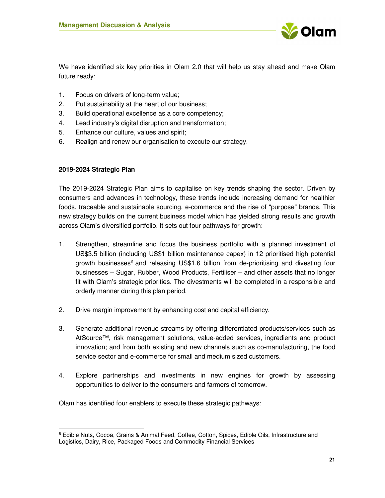

We have identified six key priorities in Olam 2.0 that will help us stay ahead and make Olam future ready:

- 1. Focus on drivers of long-term value;
- 2. Put sustainability at the heart of our business;
- 3. Build operational excellence as a core competency;
- 4. Lead industry's digital disruption and transformation;
- 5. Enhance our culture, values and spirit;
- 6. Realign and renew our organisation to execute our strategy.

#### **2019-2024 Strategic Plan**

 $\overline{a}$ 

The 2019-2024 Strategic Plan aims to capitalise on key trends shaping the sector. Driven by consumers and advances in technology, these trends include increasing demand for healthier foods, traceable and sustainable sourcing, e-commerce and the rise of "purpose" brands. This new strategy builds on the current business model which has yielded strong results and growth across Olam's diversified portfolio. It sets out four pathways for growth:

- 1. Strengthen, streamline and focus the business portfolio with a planned investment of US\$3.5 billion (including US\$1 billion maintenance capex) in 12 prioritised high potential growth businesses<sup>6</sup> and releasing US\$1.6 billion from de-prioritising and divesting four businesses – Sugar, Rubber, Wood Products, Fertiliser – and other assets that no longer fit with Olam's strategic priorities. The divestments will be completed in a responsible and orderly manner during this plan period.
- 2. Drive margin improvement by enhancing cost and capital efficiency.
- 3. Generate additional revenue streams by offering differentiated products/services such as AtSource™, risk management solutions, value-added services, ingredients and product innovation; and from both existing and new channels such as co-manufacturing, the food service sector and e-commerce for small and medium sized customers.
- 4. Explore partnerships and investments in new engines for growth by assessing opportunities to deliver to the consumers and farmers of tomorrow.

Olam has identified four enablers to execute these strategic pathways:

<sup>6</sup> Edible Nuts, Cocoa, Grains & Animal Feed, Coffee, Cotton, Spices, Edible Oils, Infrastructure and Logistics, Dairy, Rice, Packaged Foods and Commodity Financial Services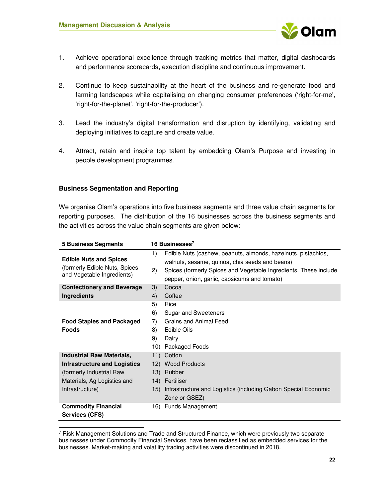

- 1. Achieve operational excellence through tracking metrics that matter, digital dashboards and performance scorecards, execution discipline and continuous improvement.
- 2. Continue to keep sustainability at the heart of the business and re-generate food and farming landscapes while capitalising on changing consumer preferences ('right-for-me', 'right-for-the-planet', 'right-for-the-producer').
- 3. Lead the industry's digital transformation and disruption by identifying, validating and deploying initiatives to capture and create value.
- 4. Attract, retain and inspire top talent by embedding Olam's Purpose and investing in people development programmes.

#### **Business Segmentation and Reporting**

 $\overline{a}$ 

We organise Olam's operations into five business segments and three value chain segments for reporting purposes. The distribution of the 16 businesses across the business segments and the activities across the value chain segments are given below:

| <b>5 Business Segments</b>                                                                    |          | 16 Businesses $7$                                                                                                                                                                                                                   |
|-----------------------------------------------------------------------------------------------|----------|-------------------------------------------------------------------------------------------------------------------------------------------------------------------------------------------------------------------------------------|
| <b>Edible Nuts and Spices</b><br>(formerly Edible Nuts, Spices)<br>and Vegetable Ingredients) | 1)<br>2) | Edible Nuts (cashew, peanuts, almonds, hazelnuts, pistachios,<br>walnuts, sesame, quinoa, chia seeds and beans)<br>Spices (formerly Spices and Vegetable Ingredients. These include<br>pepper, onion, garlic, capsicums and tomato) |
| <b>Confectionery and Beverage</b>                                                             | 3)       | Cocoa                                                                                                                                                                                                                               |
| <b>Ingredients</b>                                                                            | 4)       | Coffee                                                                                                                                                                                                                              |
|                                                                                               | 5)       | Rice                                                                                                                                                                                                                                |
|                                                                                               | 6)       | Sugar and Sweeteners                                                                                                                                                                                                                |
| <b>Food Staples and Packaged</b>                                                              | 7)       | Grains and Animal Feed                                                                                                                                                                                                              |
| <b>Foods</b>                                                                                  | 8)       | Edible Oils                                                                                                                                                                                                                         |
|                                                                                               | 9)       | Dairy                                                                                                                                                                                                                               |
|                                                                                               | 10)      | Packaged Foods                                                                                                                                                                                                                      |
| <b>Industrial Raw Materials,</b>                                                              |          | 11) Cotton                                                                                                                                                                                                                          |
| Infrastructure and Logistics                                                                  |          | 12) Wood Products                                                                                                                                                                                                                   |
| (formerly Industrial Raw                                                                      |          | 13) Rubber                                                                                                                                                                                                                          |
| Materials, Ag Logistics and                                                                   |          | 14) Fertiliser                                                                                                                                                                                                                      |
| Infrastructure)                                                                               |          | 15) Infrastructure and Logistics (including Gabon Special Economic                                                                                                                                                                  |
|                                                                                               |          | Zone or GSEZ)                                                                                                                                                                                                                       |
| <b>Commodity Financial</b><br>Services (CFS)                                                  |          | 16) Funds Management                                                                                                                                                                                                                |

<sup>7</sup> Risk Management Solutions and Trade and Structured Finance, which were previously two separate businesses under Commodity Financial Services, have been reclassified as embedded services for the businesses. Market-making and volatility trading activities were discontinued in 2018.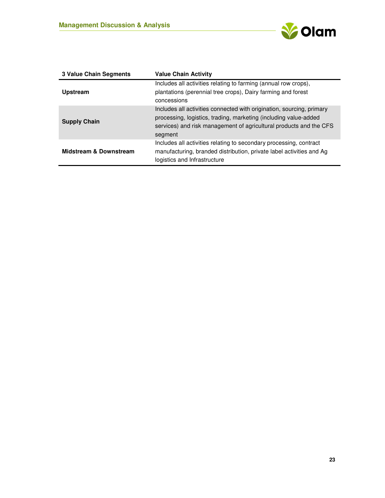

| <b>3 Value Chain Segments</b>     | <b>Value Chain Activity</b>                                                                                                                                                                                                |
|-----------------------------------|----------------------------------------------------------------------------------------------------------------------------------------------------------------------------------------------------------------------------|
|                                   | Includes all activities relating to farming (annual row crops),                                                                                                                                                            |
| <b>Upstream</b>                   | plantations (perennial tree crops), Dairy farming and forest                                                                                                                                                               |
|                                   | concessions                                                                                                                                                                                                                |
| <b>Supply Chain</b>               | Includes all activities connected with origination, sourcing, primary<br>processing, logistics, trading, marketing (including value-added<br>services) and risk management of agricultural products and the CFS<br>segment |
| <b>Midstream &amp; Downstream</b> | Includes all activities relating to secondary processing, contract<br>manufacturing, branded distribution, private label activities and Ag<br>logistics and Infrastructure                                                 |